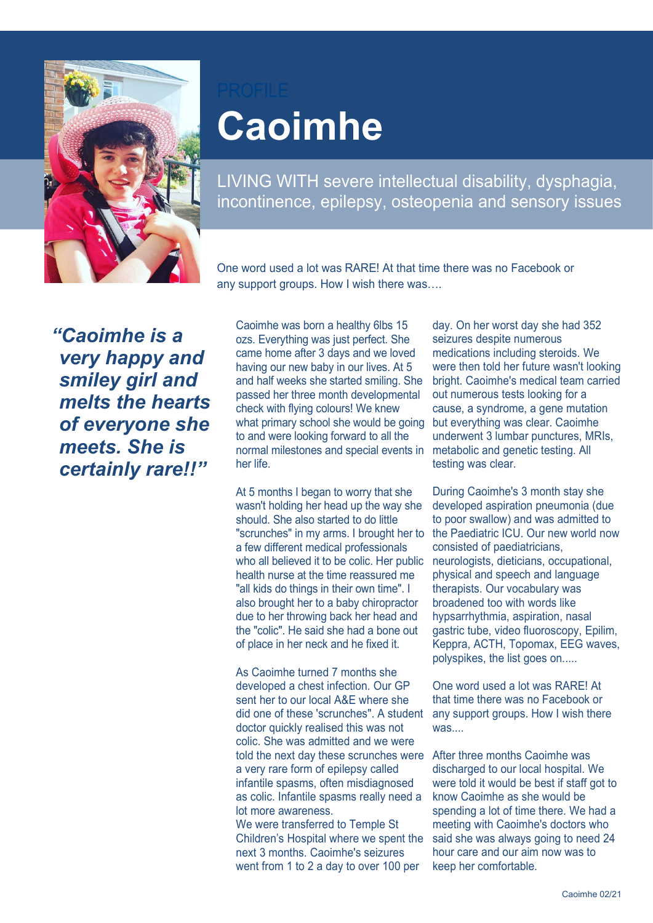

## **Caoimhe**

LIVING WITH severe intellectual disability, dysphagia, incontinence, epilepsy, osteopenia and sensory issues

One word used a lot was RARE! At that time there was no Facebook or any support groups. How I wish there was….

*"Caoimhe is a very happy and smiley girl and melts the hearts of everyone she meets. She is certainly rare!!"*

Caoimhe was born a healthy 6lbs 15 ozs. Everything was just perfect. She came home after 3 days and we loved having our new baby in our lives. At 5 and half weeks she started smiling. She passed her three month developmental check with flying colours! We knew what primary school she would be going to and were looking forward to all the normal milestones and special events in her life.

At 5 months I began to worry that she wasn't holding her head up the way she should. She also started to do little "scrunches" in my arms. I brought her to a few different medical professionals who all believed it to be colic. Her public health nurse at the time reassured me "all kids do things in their own time". I also brought her to a baby chiropractor due to her throwing back her head and the "colic". He said she had a bone out of place in her neck and he fixed it.

As Caoimhe turned 7 months she developed a chest infection. Our GP sent her to our local A&E where she did one of these 'scrunches". A student doctor quickly realised this was not colic. She was admitted and we were told the next day these scrunches were After three months Caoimhe was a very rare form of epilepsy called infantile spasms, often misdiagnosed as colic. Infantile spasms really need a lot more awareness. We were transferred to Temple St

Children's Hospital where we spent the next 3 months. Caoimhe's seizures went from 1 to 2 a day to over 100 per

day. On her worst day she had 352 seizures despite numerous medications including steroids. We were then told her future wasn't looking bright. Caoimhe's medical team carried out numerous tests looking for a cause, a syndrome, a gene mutation but everything was clear. Caoimhe underwent 3 lumbar punctures, MRIs, metabolic and genetic testing. All testing was clear.

During Caoimhe's 3 month stay she developed aspiration pneumonia (due to poor swallow) and was admitted to the Paediatric ICU. Our new world now consisted of paediatricians, neurologists, dieticians, occupational, physical and speech and language therapists. Our vocabulary was broadened too with words like hypsarrhythmia, aspiration, nasal gastric tube, video fluoroscopy, Epilim, Keppra, ACTH, Topomax, EEG waves, polyspikes, the list goes on.....

One word used a lot was RARE! At that time there was no Facebook or any support groups. How I wish there was....

discharged to our local hospital. We were told it would be best if staff got to know Caoimhe as she would be spending a lot of time there. We had a meeting with Caoimhe's doctors who said she was always going to need 24 hour care and our aim now was to keep her comfortable.